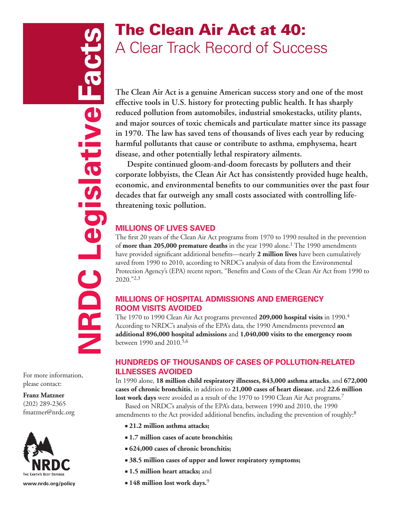**NRDC Legislative Facts** Legislative Facts  $\overline{\mathbf{C}}$ **NRD** 

# The Clean Air Act at 40: A Clear Track Record of Success

**The Clean Air Act is a genuine American success story and one of the most effective tools in U.S. history for protecting public health. It has sharply reduced pollution from automobiles, industrial smokestacks, utility plants, and major sources of toxic chemicals and particulate matter since its passage in 1970. The law has saved tens of thousands of lives each year by reducing harmful pollutants that cause or contribute to asthma, emphysema, heart disease, and other potentially lethal respiratory ailments.** 

**Despite continued gloom-and-doom forecasts by polluters and their corporate lobbyists, the Clean Air Act has consistently provided huge health, economic, and environmental benefits to our communities over the past four decades that far outweigh any small costs associated with controlling lifethreatening toxic pollution.** 

# **Millions of Lives Saved**

The first 20 years of the Clean Air Act programs from 1970 to 1990 resulted in the prevention of **more than 205,000 premature deaths** in the year 1990 alone.1 The 1990 amendments have provided significant additional benefits—nearly **2 million lives** have been cumulatively saved from 1990 to 2010, according to NRDC's analysis of data from the Environmental Protection Agency's (EPA) recent report, "Benefits and Costs of the Clean Air Act from 1990 to 2020."2,3

# **Millions of Hospital Admissions and Emergency Room Visits Avoided**

The 1970 to 1990 Clean Air Act programs prevented **209,000 hospital visits** in 1990.4 According to NRDC's analysis of the EPA's data, the 1990 Amendments prevented **an additional 896,000 hospital admissions** and **1,040,000 visits to the emergency room** between 1990 and 2010.5,6

# **Hundreds of Thousands of Cases of Pollution-Related Illnesses Avoided**

In 1990 alone, **18 million child respiratory illnesses, 843,000 asthma attacks**, and **672,000 cases of chronic bronchitis**, in addition to **21,000 cases of heart disease**, and **22.6 million lost work days** were avoided as a result of the 1970 to 1990 Clean Air Act programs.<sup>7</sup>

Based on NRDC's analysis of the EPA's data, between 1990 and 2010, the 1990 amendments to the Act provided additional benefits, including the prevention of roughly:<sup>8</sup>

- <sup>n</sup> **21.2 million asthma attacks;**
- <sup>n</sup> **1.7 million cases of acute bronchitis;**
- <sup>n</sup> **624,000 cases of chronic bronchitis;**
- <sup>n</sup> **38.5 million cases of upper and lower respiratory symptoms;**
- **n** 1.5 million heart attacks; and
- <sup>n</sup> **148 million lost work days.**<sup>9</sup>

For more information, please contact:

#### **Franz Matzner**  (202) 289-2365 fmatzner@nrdc.org